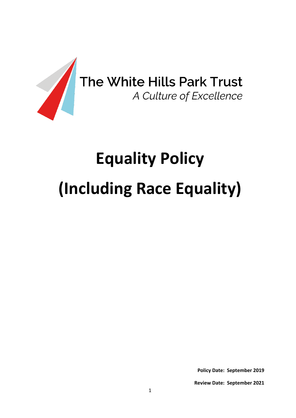

# **Equality Policy (Including Race Equality)**

**Policy Date: September 2019**

**Review Date: September 2021**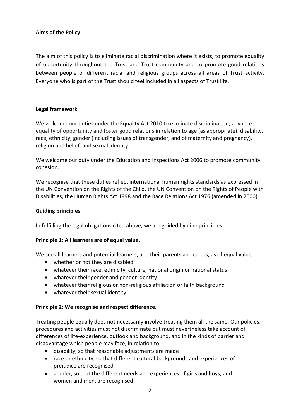# **Aims of the Policy**

The aim of this policy is to eliminate racial discrimination where it exists, to promote equality of opportunity throughout the Trust and Trust community and to promote good relations between people of different racial and religious groups across all areas of Trust activity. Everyone who is part of the Trust should feel included in all aspects of Trust life.

## **Legal framework**

We welcome our duties under the Equality Act 2010 to eliminate discrimination, advance equality of opportunity and foster good relations in relation to age (as appropriate), disability, race, ethnicity, gender (including issues of transgender, and of maternity and pregnancy), religion and belief, and sexual identity.

We welcome our duty under the Education and Inspections Act 2006 to promote community cohesion.

We recognise that these duties reflect international human rights standards as expressed in the UN Convention on the Rights of the Child, the UN Convention on the Rights of People with Disabilities, the Human Rights Act 1998 and the Race Relations Act 1976 (amended in 2000)

#### **Guiding principles**

In fulfilling the legal obligations cited above, we are guided by nine principles:

#### **Principle 1: All learners are of equal value.**

We see all learners and potential learners, and their parents and carers, as of equal value:

- whether or not they are disabled
- whatever their race, ethnicity, culture, national origin or national status
- whatever their gender and gender identity
- whatever their religious or non-religious affiliation or faith background
- whatever their sexual identity.

#### **Principle 2: We recognise and respect difference.**

Treating people equally does not necessarily involve treating them all the same. Our policies, procedures and activities must not discriminate but must nevertheless take account of differences of life-experience, outlook and background, and in the kinds of barrier and disadvantage which people may face, in relation to:

- disability, so that reasonable adjustments are made
- race or ethnicity, so that different cultural backgrounds and experiences of prejudice are recognised
- gender, so that the different needs and experiences of girls and boys, and women and men, are recognised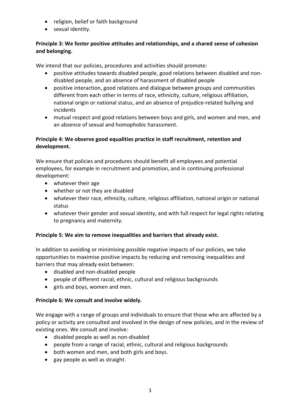- religion, belief or faith background
- sexual identity.

# **Principle 3: We foster positive attitudes and relationships, and a shared sense of cohesion and belonging.**

We intend that our policies, procedures and activities should promote:

- positive attitudes towards disabled people, good relations between disabled and nondisabled people, and an absence of harassment of disabled people
- positive interaction, good relations and dialogue between groups and communities different from each other in terms of race, ethnicity, culture, religious affiliation, national origin or national status, and an absence of prejudice-related bullying and incidents
- mutual respect and good relations between boys and girls, and women and men, and an absence of sexual and homophobic harassment.

# **Principle 4: We observe good equalities practice in staff recruitment, retention and development.**

We ensure that policies and procedures should benefit all employees and potential employees, for example in recruitment and promotion, and in continuing professional development:

- whatever their age
- whether or not they are disabled
- whatever their race, ethnicity, culture, religious affiliation, national origin or national status
- whatever their gender and sexual identity, and with full respect for legal rights relating to pregnancy and maternity.

## **Principle 5: We aim to remove inequalities and barriers that already exist.**

In addition to avoiding or minimising possible negative impacts of our policies, we take opportunities to maximise positive impacts by reducing and removing inequalities and barriers that may already exist between:

- disabled and non-disabled people
- people of different racial, ethnic, cultural and religious backgrounds
- girls and boys, women and men.

## **Principle 6: We consult and involve widely.**

We engage with a range of groups and individuals to ensure that those who are affected by a policy or activity are consulted and involved in the design of new policies, and in the review of existing ones. We consult and involve:

- disabled people as well as non-disabled
- people from a range of racial, ethnic, cultural and religious backgrounds
- both women and men, and both girls and boys.
- gay people as well as straight.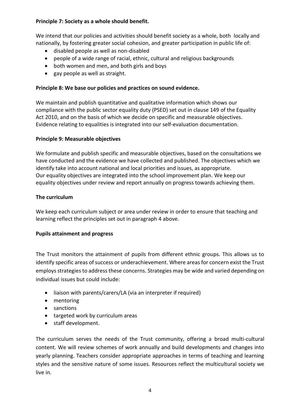# **Principle 7: Society as a whole should benefit.**

We intend that our policies and activities should benefit society as a whole, both locally and nationally, by fostering greater social cohesion, and greater participation in public life of:

- disabled people as well as non-disabled
- people of a wide range of racial, ethnic, cultural and religious backgrounds
- both women and men, and both girls and boys
- gay people as well as straight.

# **Principle 8: We base our policies and practices on sound evidence.**

We maintain and publish quantitative and qualitative information which shows our compliance with the public sector equality duty (PSED) set out in clause 149 of the Equality Act 2010, and on the basis of which we decide on specific and measurable objectives. Evidence relating to equalities is integrated into our self-evaluation documentation.

# **Principle 9: Measurable objectives**

We formulate and publish specific and measurable objectives, based on the consultations we have conducted and the evidence we have collected and published. The objectives which we identify take into account national and local priorities and issues, as appropriate. Our equality objectives are integrated into the school improvement plan. We keep our equality objectives under review and report annually on progress towards achieving them.

# **The curriculum**

We keep each curriculum subject or area under review in order to ensure that teaching and learning reflect the principles set out in paragraph 4 above.

# **Pupils attainment and progress**

The Trust monitors the attainment of pupils from different ethnic groups. This allows us to identify specific areas of success or underachievement. Where areas for concern exist the Trust employs strategies to address these concerns. Strategies may be wide and varied depending on individual issues but could include:

- liaison with parents/carers/LA (via an interpreter if required)
- mentoring
- sanctions
- targeted work by curriculum areas
- staff development.

The curriculum serves the needs of the Trust community, offering a broad multi-cultural content. We will review schemes of work annually and build developments and changes into yearly planning. Teachers consider appropriate approaches in terms of teaching and learning styles and the sensitive nature of some issues. Resources reflect the multicultural society we live in.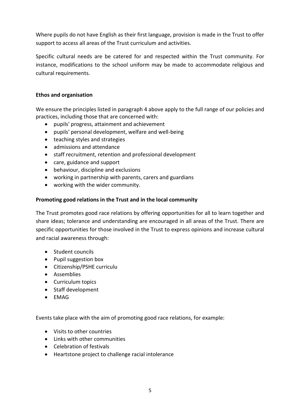Where pupils do not have English as their first language, provision is made in the Trust to offer support to access all areas of the Trust curriculum and activities.

Specific cultural needs are be catered for and respected within the Trust community. For instance, modifications to the school uniform may be made to accommodate religious and cultural requirements.

## **Ethos and organisation**

We ensure the principles listed in paragraph 4 above apply to the full range of our policies and practices, including those that are concerned with:

- pupils' progress, attainment and achievement
- pupils' personal development, welfare and well-being
- teaching styles and strategies
- admissions and attendance
- staff recruitment, retention and professional development
- care, guidance and support
- behaviour, discipline and exclusions
- working in partnership with parents, carers and guardians
- working with the wider community.

## **Promoting good relations in the Trust and in the local community**

The Trust promotes good race relations by offering opportunities for all to learn together and share ideas; tolerance and understanding are encouraged in all areas of the Trust. There are specific opportunities for those involved in the Trust to express opinions and increase cultural and racial awareness through:

- Student councils
- Pupil suggestion box
- Citizenship/PSHE curriculu
- Assemblies
- Curriculum topics
- Staff development
- EMAG

Events take place with the aim of promoting good race relations, for example:

- Visits to other countries
- Links with other communities
- Celebration of festivals
- Heartstone project to challenge racial intolerance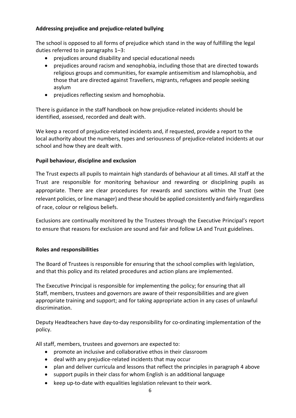## **Addressing prejudice and prejudice-related bullying**

The school is opposed to all forms of prejudice which stand in the way of fulfilling the legal duties referred to in paragraphs 1–3:

- prejudices around disability and special educational needs
- prejudices around racism and xenophobia, including those that are directed towards religious groups and communities, for example antisemitism and Islamophobia, and those that are directed against Travellers, migrants, refugees and people seeking asylum
- prejudices reflecting sexism and homophobia.

There is guidance in the staff handbook on how prejudice-related incidents should be identified, assessed, recorded and dealt with.

We keep a record of prejudice-related incidents and, if requested, provide a report to the local authority about the numbers, types and seriousness of prejudice-related incidents at our school and how they are dealt with.

## **Pupil behaviour, discipline and exclusion**

The Trust expects all pupils to maintain high standards of behaviour at all times. All staff at the Trust are responsible for monitoring behaviour and rewarding or disciplining pupils as appropriate. There are clear procedures for rewards and sanctions within the Trust (see relevant policies, or line manager) and these should be applied consistently and fairly regardless of race, colour or religious beliefs.

Exclusions are continually monitored by the Trustees through the Executive Principal's report to ensure that reasons for exclusion are sound and fair and follow LA and Trust guidelines.

## **Roles and responsibilities**

The Board of Trustees is responsible for ensuring that the school complies with legislation, and that this policy and its related procedures and action plans are implemented.

The Executive Principal is responsible for implementing the policy; for ensuring that all Staff, members, trustees and governors are aware of their responsibilities and are given appropriate training and support; and for taking appropriate action in any cases of unlawful discrimination.

Deputy Headteachers have day-to-day responsibility for co-ordinating implementation of the policy.

All staff, members, trustees and governors are expected to:

- promote an inclusive and collaborative ethos in their classroom
- deal with any prejudice-related incidents that may occur
- plan and deliver curricula and lessons that reflect the principles in paragraph 4 above
- support pupils in their class for whom English is an additional language
- keep up-to-date with equalities legislation relevant to their work.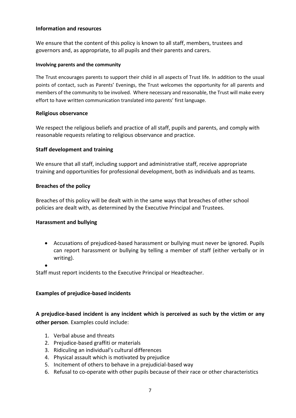#### **Information and resources**

We ensure that the content of this policy is known to all staff, members, trustees and governors and, as appropriate, to all pupils and their parents and carers.

#### **Involving parents and the community**

The Trust encourages parents to support their child in all aspects of Trust life. In addition to the usual points of contact, such as Parents' Evenings, the Trust welcomes the opportunity for all parents and members of the community to be involved. Where necessary and reasonable, the Trust will make every effort to have written communication translated into parents' first language.

#### **Religious observance**

We respect the religious beliefs and practice of all staff, pupils and parents, and comply with reasonable requests relating to religious observance and practice.

#### **Staff development and training**

We ensure that all staff, including support and administrative staff, receive appropriate training and opportunities for professional development, both as individuals and as teams.

#### **Breaches of the policy**

Breaches of this policy will be dealt with in the same ways that breaches of other school policies are dealt with, as determined by the Executive Principal and Trustees.

#### **Harassment and bullying**

 Accusations of prejudiced-based harassment or bullying must never be ignored. Pupils can report harassment or bullying by telling a member of staff (either verbally or in writing).

 $\bullet$ 

Staff must report incidents to the Executive Principal or Headteacher.

#### **Examples of prejudice-based incidents**

**A prejudice-based incident is any incident which is perceived as such by the victim or any other person**. Examples could include:

- 1. Verbal abuse and threats
- 2. Prejudice-based graffiti or materials
- 3. Ridiculing an individual's cultural differences
- 4. Physical assault which is motivated by prejudice
- 5. Incitement of others to behave in a prejudicial-based way
- 6. Refusal to co-operate with other pupils because of their race or other characteristics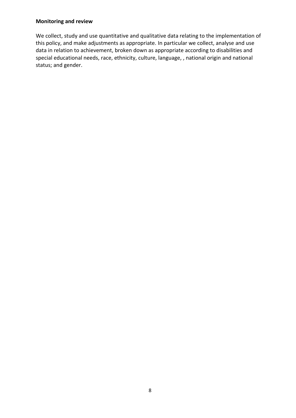#### **Monitoring and review**

We collect, study and use quantitative and qualitative data relating to the implementation of this policy, and make adjustments as appropriate. In particular we collect, analyse and use data in relation to achievement, broken down as appropriate according to disabilities and special educational needs, race, ethnicity, culture, language, , national origin and national status; and gender.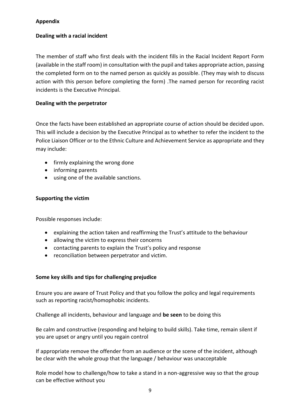## **Appendix**

# **Dealing with a racial incident**

The member of staff who first deals with the incident fills in the Racial Incident Report Form (available in the staff room) in consultation with the pupil and takes appropriate action, passing the completed form on to the named person as quickly as possible. (They may wish to discuss action with this person before completing the form) .The named person for recording racist incidents is the Executive Principal.

# **Dealing with the perpetrator**

Once the facts have been established an appropriate course of action should be decided upon. This will include a decision by the Executive Principal as to whether to refer the incident to the Police Liaison Officer or to the Ethnic Culture and Achievement Service as appropriate and they may include:

- firmly explaining the wrong done
- informing parents
- using one of the available sanctions.

## **Supporting the victim**

Possible responses include:

- explaining the action taken and reaffirming the Trust's attitude to the behaviour
- allowing the victim to express their concerns
- contacting parents to explain the Trust's policy and response
- reconciliation between perpetrator and victim.

## **Some key skills and tips for challenging prejudice**

Ensure you are aware of Trust Policy and that you follow the policy and legal requirements such as reporting racist/homophobic incidents.

Challenge all incidents, behaviour and language and **be seen** to be doing this

Be calm and constructive (responding and helping to build skills). Take time, remain silent if you are upset or angry until you regain control

If appropriate remove the offender from an audience or the scene of the incident, although be clear with the whole group that the language / behaviour was unacceptable

Role model how to challenge/how to take a stand in a non-aggressive way so that the group can be effective without you